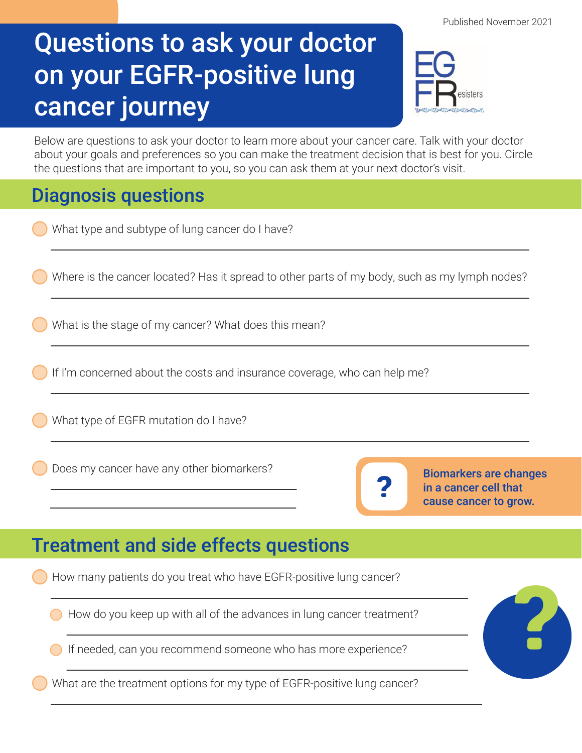## Questions to ask your doctor on your EGFR-positive lung cancer journey



Below are questions to ask your doctor to learn more about your cancer care. Talk with your doctor about your goals and preferences so you can make the treatment decision that is best for you. Circle the questions that are important to you, so you can ask them at your next doctor's visit.

## Diagnosis questions

|                                             | Piagnosis questions                                                                                                          |
|---------------------------------------------|------------------------------------------------------------------------------------------------------------------------------|
|                                             | What type and subtype of lung cancer do I have?                                                                              |
|                                             | Where is the cancer located? Has it spread to other parts of my body, such as my lymph nodes?                                |
|                                             | What is the stage of my cancer? What does this mean?                                                                         |
|                                             | If I'm concerned about the costs and insurance coverage, who can help me?                                                    |
|                                             | What type of EGFR mutation do I have?                                                                                        |
|                                             | Does my cancer have any other biomarkers?<br><b>Biomarkers are changes</b><br>in a cancer cell that<br>cause cancer to grow. |
| <b>Treatment and side effects questions</b> |                                                                                                                              |
|                                             | How many patients do you treat who have EGFR-positive lung cancer?                                                           |
|                                             | How do you keep up with all of the advances in lung cancer treatment?                                                        |
|                                             | If needed, can you recommend someone who has more experience?                                                                |
|                                             |                                                                                                                              |

What are the treatment options for my type of EGFR-positive lung cancer?